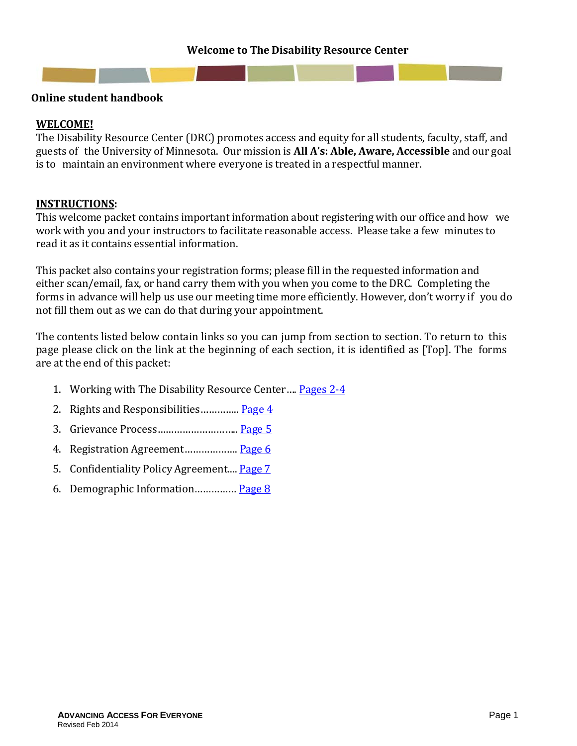#### **Welcome to The Disability Resource Center**

<span id="page-0-0"></span>

#### **Online student handbook**

#### **WELCOME!**

The Disability Resource Center (DRC) promotes access and equity for all students, faculty, staff, and guests of the University of Minnesota. Our mission is **All A's: Able, Aware, Accessible** and our goal is to maintain an environment where everyone is treated in a respectful manner.

#### **INSTRUCTIONS:**

This welcome packet contains important information about registering with our office and how we work with you and your instructors to facilitate reasonable access. Please take a few minutes to read it as it contains essential information.

This packet also contains your registration forms; please fill in the requested information and either scan/email, fax, or hand carry them with you when you come to the DRC. Completing the forms in advance will help us use our meeting time more efficiently. However, don't worry if you do not fill them out as we can do that during your appointment.

The contents listed below contain links so you can jump from section to section. To return to this page please click on the link at the beginning of each section, it is identified as [Top]. The forms are at the end of this packet:

- 1. Working with The Disability Resource Center.... [Pages](#page-1-0) 2-4
- 2. Rights and Responsibilities.............. [Page](#page-3-0) 4
- 3. Grievance Process……………………….. [Page](#page-4-0) 5
- 4. Registration Agreement………………. [Page](#page-5-0) 6
- 5. Confidentiality Policy Agreement.... [Page](#page-6-0) 7
- 6. Demographic Information…………… [Page](#page-7-0) 8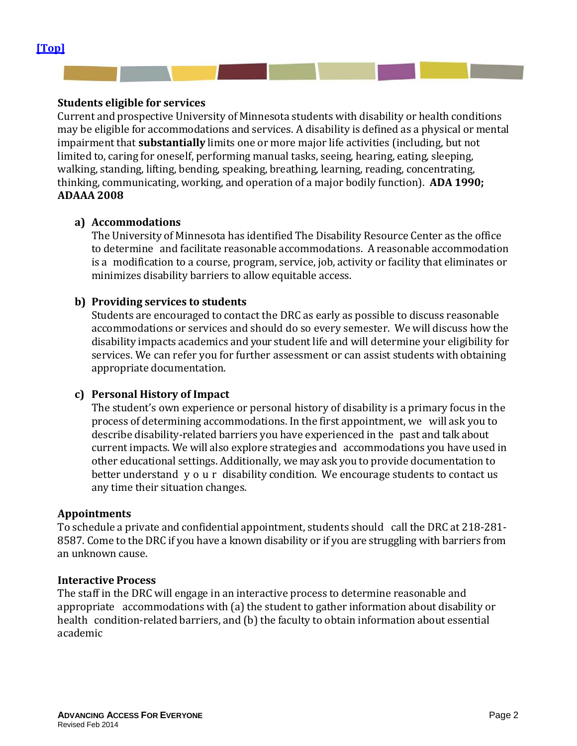#### <span id="page-1-0"></span>**Students eligible for services**

Current and prospective University of Minnesota students with disability or health conditions may be eligible for accommodations and services. A disability is defined as a physical or mental impairment that **substantially** limits one or more major life activities (including, but not limited to, caring for oneself, performing manual tasks, seeing, hearing, eating, sleeping, walking, standing, lifting, bending, speaking, breathing, learning, reading, concentrating, thinking, communicating, working, and operation of a major bodily function). **ADA 1990; ADAAA 2008**

#### **a) Accommodations**

The University of Minnesota has identified The Disability Resource Center as the office to determine and facilitate reasonable accommodations. A reasonable accommodation is a modification to a course, program, service, job, activity or facility that eliminates or minimizes disability barriers to allow equitable access.

#### **b) Providing services to students**

Students are encouraged to contact the DRC as early as possible to discuss reasonable accommodations or services and should do so every semester. We will discuss how the disability impacts academics and your student life and will determine your eligibility for services. We can refer you for further assessment or can assist students with obtaining appropriate documentation.

#### **c) Personal History of Impact**

The student's own experience or personal history of disability is a primary focus in the process of determining accommodations. In the first appointment, we will ask you to describe disability-related barriers you have experienced in the past and talk about current impacts. We will also explore strategies and accommodations you have used in other educational settings. Additionally, we may ask you to provide documentation to better understand your disability condition. We encourage students to contact us any time their situation changes.

#### **Appointments**

To schedule a private and confidential appointment, students should call the DRC at 218-281- 8587. Come to the DRC if you have a known disability or if you are struggling with barriers from an unknown cause.

#### **Interactive Process**

The staff in the DRC will engage in an interactive process to determine reasonable and appropriate accommodations with (a) the student to gather information about disability or health condition-related barriers, and (b) the faculty to obtain information about essential academic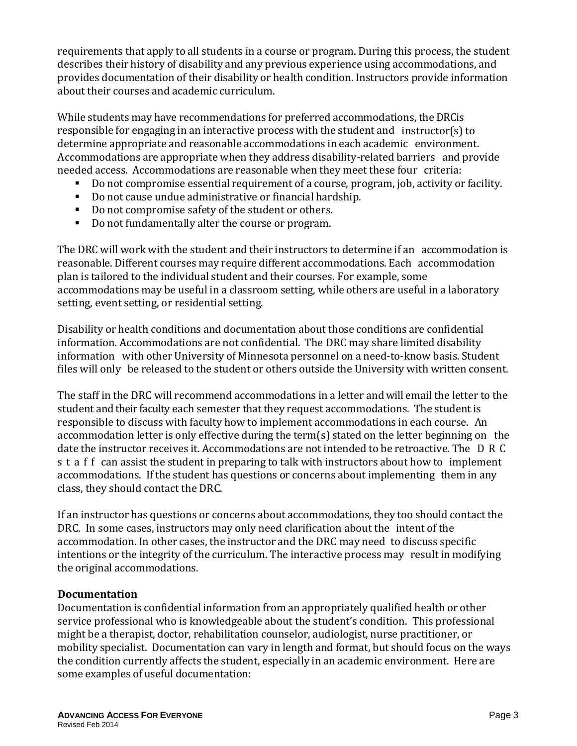requirements that apply to all students in a course or program. During this process, the student describes their history of disability and any previous experience using accommodations, and provides documentation of their disability or health condition. Instructors provide information about their courses and academic curriculum.

While students may have recommendations for preferred accommodations, the DRCis responsible for engaging in an interactive process with the student and instructor(s) to determine appropriate and reasonable accommodations in each academic environment. Accommodations are appropriate when they address disability-related barriers and provide needed access. Accommodations are reasonable when they meet these four criteria:<br>■ Do not compromise essential requirement of a course, program, iob, activity or

- Do not compromise essential requirement of a course, program, job, activity or facility.<br>■ Do not cause undue administrative or financial hardshin
- Do not cause undue administrative or financial hardship.
- Do not compromise safety of the student or others.<br>■ Do not fundamentally alter the course or program.
- Do not fundamentally alter the course or program.

The DRC will work with the student and their instructors to determine if an accommodation is reasonable. Different courses may require different accommodations. Each accommodation plan is tailored to the individual student and their courses. For example, some accommodations may be useful in a classroom setting, while others are useful in a laboratory setting, event setting, or residential setting.

Disability or health conditions and documentation about those conditions are confidential information. Accommodations are not confidential. The DRC may share limited disability information with other University of Minnesota personnel on a need-to-know basis. Student files will only be released to the student or others outside the University with written consent.

The staff in the DRC will recommend accommodations in a letter and will email the letter to the student and their faculty each semester that they request accommodations. The student is responsible to discuss with faculty how to implement accommodations in each course. An accommodation letter is only effective during the term(s) stated on the letter beginning on the date the instructor receives it. Accommodations are not intended to be retroactive. The DRC s t a f f can assist the student in preparing to talk with instructors about how to implement accommodations. If the student has questions or concerns about implementing them in any class, they should contact the DRC.

If an instructor has questions or concerns about accommodations, they too should contact the DRC. In some cases, instructors may only need clarification about the intent of the accommodation. In other cases, the instructor and the DRC may need to discuss specific intentions or the integrity of the curriculum. The interactive process may result in modifying the original accommodations.

#### **Documentation**

Documentation is confidential information from an appropriately qualified health or other service professional who is knowledgeable about the student's condition. This professional might be a therapist, doctor, rehabilitation counselor, audiologist, nurse practitioner, or mobility specialist. Documentation can vary in length and format, but should focus on the ways the condition currently affects the student, especially in an academic environment. Here are some examples of useful documentation: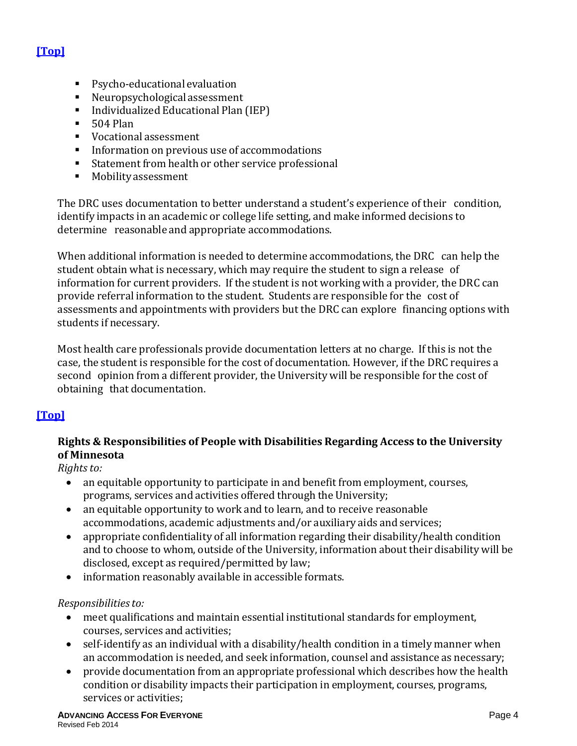# **[\[Top\]](#page-0-0)**

- Psycho-educational evaluation
- Neuropsychologicalassessment
- Individualized Educational Plan (IEP)
- $-504$  Plan
- Vocational assessment
- Information on previous use of accommodations<br>■ Statement from health or other service professio
- Statement from health or other service professional<br>■ Mobility assessment
- Mobility assessment

The DRC uses documentation to better understand a student's experience of their condition, identify impacts in an academic or college life setting, and make informed decisions to determine reasonable and appropriate accommodations.

When additional information is needed to determine accommodations, the DRC can help the student obtain what is necessary, which may require the student to sign a release of information for current providers. If the student is not working with a provider, the DRC can provide referral information to the student. Students are responsible for the cost of assessments and appointments with providers but the DRC can explore financing options with students if necessary.

Most health care professionals provide documentation letters at no charge. If this is not the case, the student is responsible for the cost of documentation. However, if the DRC requires a second opinion from a different provider, the University will be responsible for the cost of obtaining that documentation.

# <span id="page-3-0"></span>**[\[Top\]](#page-0-0)**

## **Rights & Responsibilities of People with Disabilities Regarding Access to the University of Minnesota**

*Rights to:*

- an equitable opportunity to participate in and benefit from employment, courses, programs, services and activities offered through the University;
- an equitable opportunity to work and to learn, and to receive reasonable accommodations, academic adjustments and/or auxiliary aids and services;
- appropriate confidentiality of all information regarding their disability/health condition and to choose to whom, outside of the University, information about their disability will be disclosed, except as required/permitted by law;
- information reasonably available in accessible formats.

#### *Responsibilitiesto:*

- meet qualifications and maintain essential institutional standards for employment, courses, services and activities;
- self-identify as an individual with a disability/health condition in a timely manner when an accommodation is needed, and seek information, counsel and assistance as necessary;
- provide documentation from an appropriate professional which describes how the health condition or disability impacts their participation in employment, courses, programs, services or activities;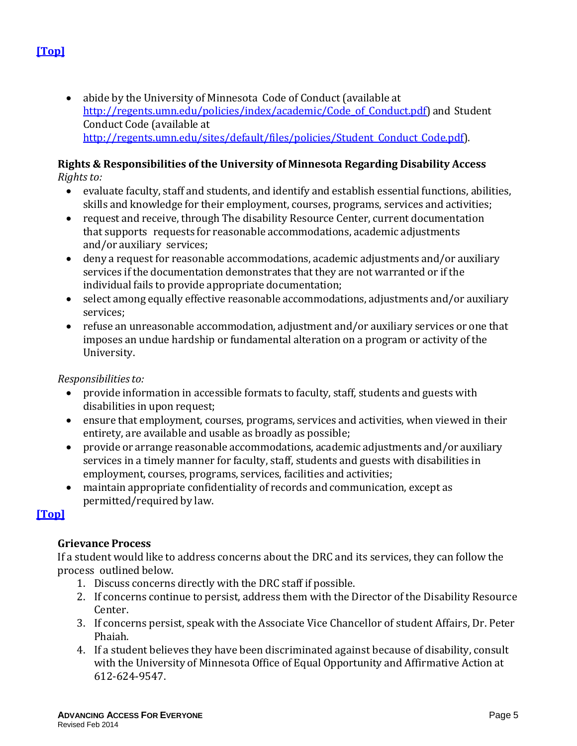• abide by the University of Minnesota Code of Conduct (available at [http://regents.umn.edu/policies/index/academic/Code\\_of\\_Conduct.pdf\)](http://regents.umn.edu/policies/index/academic/Code_of_Conduct.pdf) [and](http://regents.umn.edu/sites/default/files/policies/Student_Conduct_Code.pdf) Student Conduct Code (available at http://regents.umn.edu/sites/default/files/policies/Student Conduct Code.pdf).

# **Rights & Responsibilities of the University of Minnesota Regarding Disability Access**

*Rights to:*

- evaluate faculty, staff and students, and identify and establish essential functions, abilities, skills and knowledge for their employment, courses, programs, services and activities;
- request and receive, through The disability Resource Center, current documentation that supports requests for reasonable accommodations, academic adjustments and/or auxiliary services;
- deny a request for reasonable accommodations, academic adjustments and/or auxiliary services if the documentation demonstrates that they are not warranted or if the individual fails to provide appropriate documentation;
- select among equally effective reasonable accommodations, adjustments and/or auxiliary services;
- refuse an unreasonable accommodation, adjustment and/or auxiliary services or one that imposes an undue hardship or fundamental alteration on a program or activity of the University.

*Responsibilitiesto:*

- provide information in accessible formats to faculty, staff, students and guests with disabilities in upon request;
- ensure that employment, courses, programs, services and activities, when viewed in their entirety, are available and usable as broadly as possible;
- provide or arrange reasonable accommodations, academic adjustments and/or auxiliary services in a timely manner for faculty, staff, students and guests with disabilities in employment, courses, programs, services, facilities and activities;
- maintain appropriate confidentiality of records and communication, except as permitted/required by law.

### <span id="page-4-0"></span>**[\[Top\]](#page-0-0)**

### **Grievance Process**

If a student would like to address concerns about the DRC and its services, they can follow the process outlined below.

- 1. Discuss concerns directly with the DRC staff if possible.
- 2. If concerns continue to persist, address them with the Director of the Disability Resource Center.
- 3. If concerns persist, speak with the Associate Vice Chancellor of student Affairs, Dr. Peter Phaiah.
- 4. If a student believes they have been discriminated against because of disability, consult with the University of Minnesota Office of Equal Opportunity and Affirmative Action at 612-624-9547.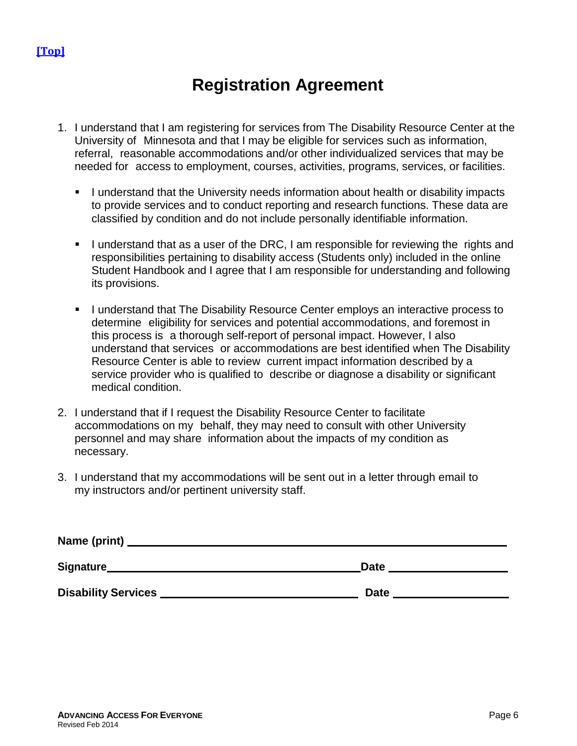# **Registration Agreement**

- <span id="page-5-0"></span>1. I understand that I am registering for services from The Disability Resource Center at the University of Minnesota and that I may be eligible for services such as information, referral, reasonable accommodations and/or other individualized services that may be needed for access to employment, courses, activities, programs, services, or facilities.
	- **I** understand that the University needs information about health or disability impacts to provide services and to conduct reporting and research functions. These data are classified by condition and do not include personally identifiable information.
	- I understand that as a user of the DRC, I am responsible for reviewing the rights and responsibilities pertaining to disability access (Students only) included in the online Student Handbook and I agree that I am responsible for understanding and following its provisions.
	- I understand that The Disability Resource Center employs an interactive process to determine eligibility for services and potential accommodations, and foremost in this process is a thorough self-report of personal impact. However, I also understand that services or accommodations are best identified when The Disability Resource Center is able to review current impact information described by a service provider who is qualified to describe or diagnose a disability or significant medical condition.
- 2. I understand that if I request the Disability Resource Center to facilitate accommodations on my behalf, they may need to consult with other University personnel and may share information about the impacts of my condition as necessary.
- 3. I understand that my accommodations will be sent out in a letter through email to my instructors and/or pertinent university staff.

| Name (print) _             |             |
|----------------------------|-------------|
| Signature                  | <b>Date</b> |
| <b>Disability Services</b> | <b>Date</b> |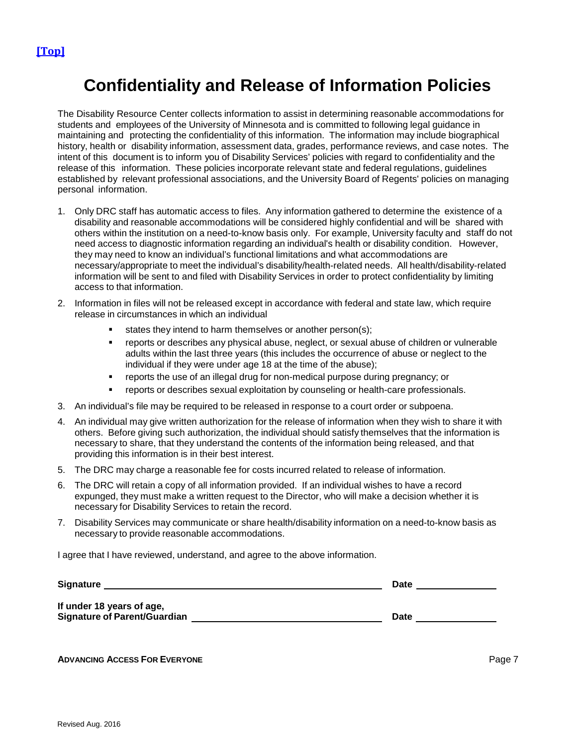# **Confidentiality and Release of Information Policies**

<span id="page-6-0"></span>The Disability Resource Center collects information to assist in determining reasonable accommodations for students and employees of the University of Minnesota and is committed to following legal guidance in maintaining and protecting the confidentiality of this information. The information may include biographical history, health or disability information, assessment data, grades, performance reviews, and case notes. The intent of this document is to inform you of Disability Services' policies with regard to confidentiality and the release of this information. These policies incorporate relevant state and federal regulations, guidelines established by relevant professional associations, and the University Board of Regents' policies on managing personal information.

- 1. Only DRC staff has automatic access to files. Any information gathered to determine the existence of a disability and reasonable accommodations will be considered highly confidential and will be shared with others within the institution on a need-to-know basis only. For example, University faculty and staff do not need access to diagnostic information regarding an individual's health or disability condition. However, they may need to know an individual's functional limitations and what accommodations are necessary/appropriate to meet the individual's disability/health-related needs. All health/disability-related information will be sent to and filed with Disability Services in order to protect confidentiality by limiting access to that information.
- 2. Information in files will not be released except in accordance with federal and state law, which require release in circumstances in which an individual
	- states they intend to harm themselves or another person(s);
	- reports or describes any physical abuse, neglect, or sexual abuse of children or vulnerable adults within the last three years (this includes the occurrence of abuse or neglect to the individual if they were under age 18 at the time of the abuse);
	- reports the use of an illegal drug for non-medical purpose during pregnancy; or
	- reports or describes sexual exploitation by counseling or health-care professionals.
- 3. An individual's file may be required to be released in response to a court order or subpoena.
- 4. An individual may give written authorization for the release of information when they wish to share it with others. Before giving such authorization, the individual should satisfy themselves that the information is necessary to share, that they understand the contents of the information being released, and that providing this information is in their best interest.
- 5. The DRC may charge a reasonable fee for costs incurred related to release of information.
- 6. The DRC will retain a copy of all information provided. If an individual wishes to have a record expunged, they must make a written request to the Director, who will make a decision whether it is necessary for Disability Services to retain the record.
- 7. Disability Services may communicate or share health/disability information on a need-to-know basis as necessary to provide reasonable accommodations.

I agree that I have reviewed, understand, and agree to the above information.

| <b>Signature</b>                    | <b>Date</b> |  |  |  |
|-------------------------------------|-------------|--|--|--|
| If under 18 years of age,           |             |  |  |  |
| <b>Signature of Parent/Guardian</b> | Date        |  |  |  |

**ADVANCING ACCESS FOR EVERYONE** Page 7